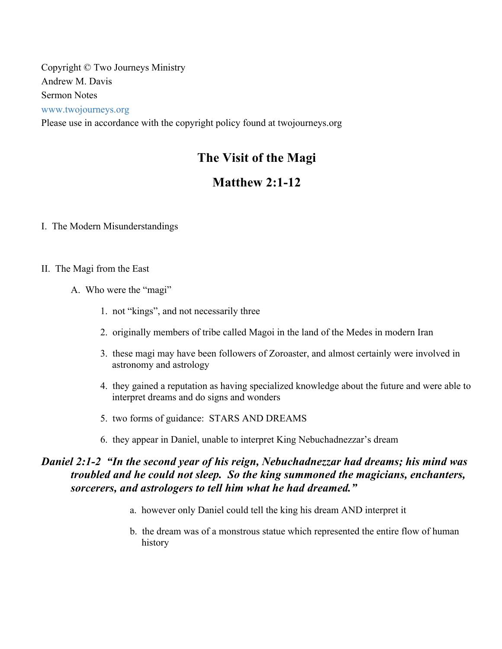Copyright © Two Journeys Ministry Andrew M. Davis Sermon Notes www.twojourneys.org Please use in accordance with the copyright policy found at twojourneys.org

# **The Visit of the Magi**

# **Matthew 2:1-12**

- I. The Modern Misunderstandings
- II. The Magi from the East
	- A. Who were the "magi"
		- 1. not "kings", and not necessarily three
		- 2. originally members of tribe called Magoi in the land of the Medes in modern Iran
		- 3. these magi may have been followers of Zoroaster, and almost certainly were involved in astronomy and astrology
		- 4. they gained a reputation as having specialized knowledge about the future and were able to interpret dreams and do signs and wonders
		- 5. two forms of guidance: STARS AND DREAMS
		- 6. they appear in Daniel, unable to interpret King Nebuchadnezzar's dream

# *Daniel 2:1-2 "In the second year of his reign, Nebuchadnezzar had dreams; his mind was troubled and he could not sleep. So the king summoned the magicians, enchanters, sorcerers, and astrologers to tell him what he had dreamed."*

- a. however only Daniel could tell the king his dream AND interpret it
- b. the dream was of a monstrous statue which represented the entire flow of human history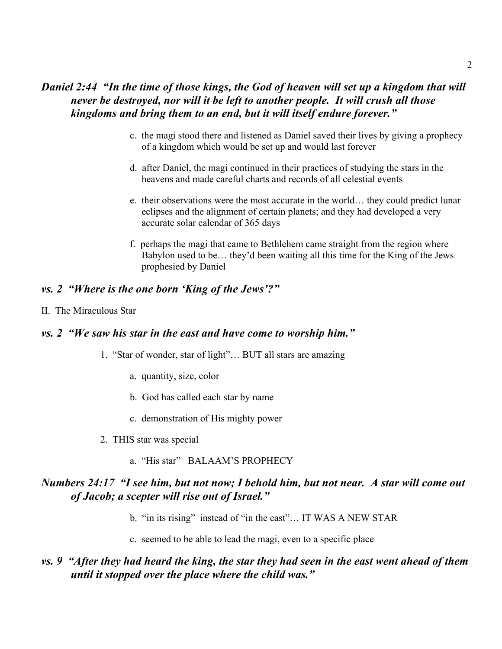## *Daniel 2:44 "In the time of those kings, the God of heaven will set up a kingdom that will never be destroyed, nor will it be left to another people. It will crush all those kingdoms and bring them to an end, but it will itself endure forever."*

- c. the magi stood there and listened as Daniel saved their lives by giving a prophecy of a kingdom which would be set up and would last forever
- d. after Daniel, the magi continued in their practices of studying the stars in the heavens and made careful charts and records of all celestial events
- e. their observations were the most accurate in the world… they could predict lunar eclipses and the alignment of certain planets; and they had developed a very accurate solar calendar of 365 days
- f. perhaps the magi that came to Bethlehem came straight from the region where Babylon used to be… they'd been waiting all this time for the King of the Jews prophesied by Daniel

### *vs. 2 "Where is the one born 'King of the Jews'?"*

#### II. The Miraculous Star

### *vs. 2 "We saw his star in the east and have come to worship him."*

- 1. "Star of wonder, star of light"… BUT all stars are amazing
	- a. quantity, size, color
	- b. God has called each star by name
	- c. demonstration of His mighty power
- 2. THIS star was special
	- a. "His star" BALAAM'S PROPHECY

### *Numbers 24:17 "I see him, but not now; I behold him, but not near. A star will come out of Jacob; a scepter will rise out of Israel."*

- b. "in its rising" instead of "in the east"... IT WAS A NEW STAR
- c. seemed to be able to lead the magi, even to a specific place

### *vs. 9 "After they had heard the king, the star they had seen in the east went ahead of them until it stopped over the place where the child was."*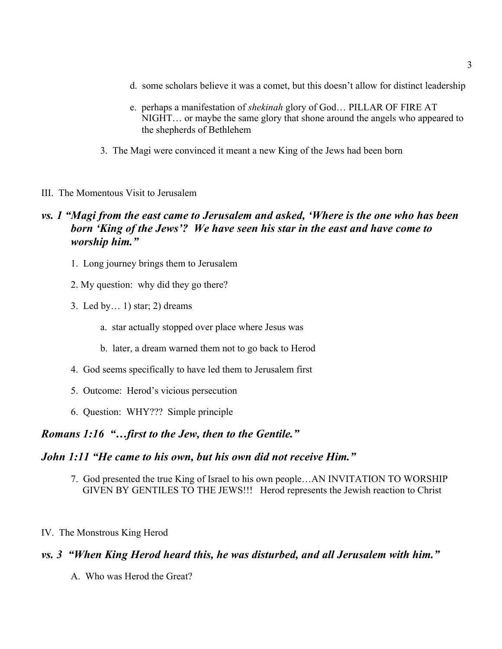- d. some scholars believe it was a comet, but this doesn't allow for distinct leadership
- e. perhaps a manifestation of *shekinah* glory of God… PILLAR OF FIRE AT NIGHT… or maybe the same glory that shone around the angels who appeared to the shepherds of Bethlehem
- 3. The Magi were convinced it meant a new King of the Jews had been born
- III. The Momentous Visit to Jerusalem

## *vs. 1 "Magi from the east came to Jerusalem and asked, 'Where is the one who has been born 'King of the Jews'? We have seen his star in the east and have come to worship him."*

- 1. Long journey brings them to Jerusalem
- 2. My question: why did they go there?
- 3. Led by… 1) star; 2) dreams
	- a. star actually stopped over place where Jesus was
	- b. later, a dream warned them not to go back to Herod
- 4. God seems specifically to have led them to Jerusalem first
- 5. Outcome: Herod's vicious persecution
- 6. Question: WHY??? Simple principle

### *Romans 1:16 "…first to the Jew, then to the Gentile."*

### *John 1:11 "He came to his own, but his own did not receive Him."*

- 7. God presented the true King of Israel to his own people…AN INVITATION TO WORSHIP GIVEN BY GENTILES TO THE JEWS!!! Herod represents the Jewish reaction to Christ
- IV. The Monstrous King Herod

### *vs. 3 "When King Herod heard this, he was disturbed, and all Jerusalem with him."*

A. Who was Herod the Great?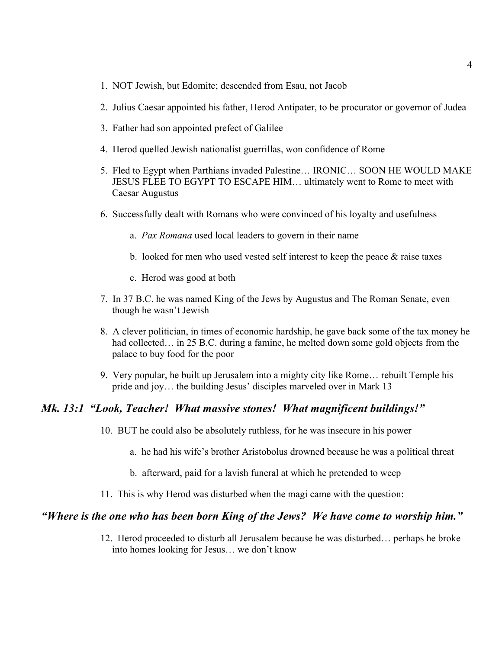- 1. NOT Jewish, but Edomite; descended from Esau, not Jacob
- 2. Julius Caesar appointed his father, Herod Antipater, to be procurator or governor of Judea
- 3. Father had son appointed prefect of Galilee
- 4. Herod quelled Jewish nationalist guerrillas, won confidence of Rome
- 5. Fled to Egypt when Parthians invaded Palestine… IRONIC… SOON HE WOULD MAKE JESUS FLEE TO EGYPT TO ESCAPE HIM… ultimately went to Rome to meet with Caesar Augustus
- 6. Successfully dealt with Romans who were convinced of his loyalty and usefulness
	- a. *Pax Romana* used local leaders to govern in their name
	- b. looked for men who used vested self interest to keep the peace  $\&$  raise taxes
	- c. Herod was good at both
- 7. In 37 B.C. he was named King of the Jews by Augustus and The Roman Senate, even though he wasn't Jewish
- 8. A clever politician, in times of economic hardship, he gave back some of the tax money he had collected... in 25 B.C. during a famine, he melted down some gold objects from the palace to buy food for the poor
- 9. Very popular, he built up Jerusalem into a mighty city like Rome… rebuilt Temple his pride and joy… the building Jesus' disciples marveled over in Mark 13

#### *Mk. 13:1 "Look, Teacher! What massive stones! What magnificent buildings!"*

- 10. BUT he could also be absolutely ruthless, for he was insecure in his power
	- a. he had his wife's brother Aristobolus drowned because he was a political threat
	- b. afterward, paid for a lavish funeral at which he pretended to weep
- 11. This is why Herod was disturbed when the magi came with the question:

#### *"Where is the one who has been born King of the Jews? We have come to worship him."*

12. Herod proceeded to disturb all Jerusalem because he was disturbed… perhaps he broke into homes looking for Jesus… we don't know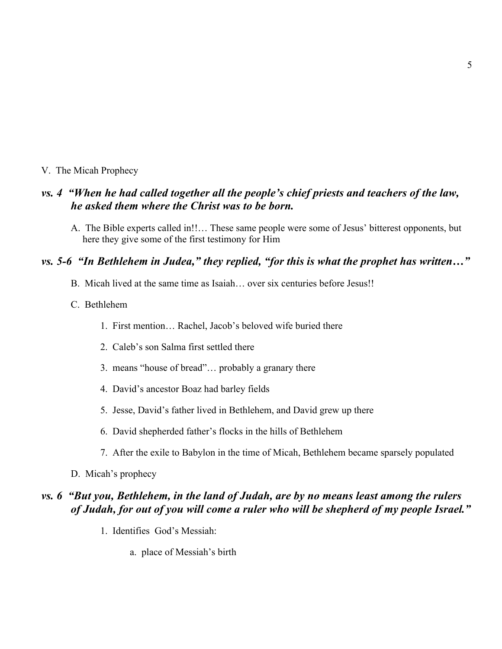#### V. The Micah Prophecy

## *vs. 4 "When he had called together all the people's chief priests and teachers of the law, he asked them where the Christ was to be born.*

A. The Bible experts called in!!… These same people were some of Jesus' bitterest opponents, but here they give some of the first testimony for Him

### *vs. 5-6 "In Bethlehem in Judea," they replied, "for this is what the prophet has written…"*

B. Micah lived at the same time as Isaiah… over six centuries before Jesus!!

#### C. Bethlehem

- 1. First mention… Rachel, Jacob's beloved wife buried there
- 2. Caleb's son Salma first settled there
- 3. means "house of bread"… probably a granary there
- 4. David's ancestor Boaz had barley fields
- 5. Jesse, David's father lived in Bethlehem, and David grew up there
- 6. David shepherded father's flocks in the hills of Bethlehem
- 7. After the exile to Babylon in the time of Micah, Bethlehem became sparsely populated
- D. Micah's prophecy

### *vs. 6 "But you, Bethlehem, in the land of Judah, are by no means least among the rulers of Judah, for out of you will come a ruler who will be shepherd of my people Israel."*

- 1. Identifies God's Messiah:
	- a. place of Messiah's birth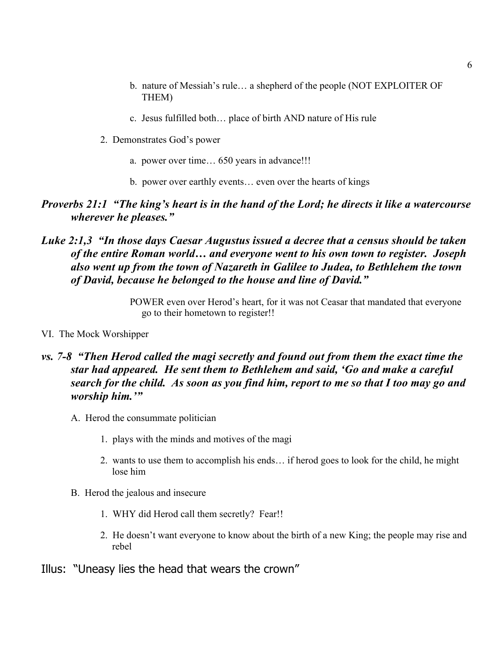- b. nature of Messiah's rule… a shepherd of the people (NOT EXPLOITER OF THEM)
- c. Jesus fulfilled both… place of birth AND nature of His rule
- 2. Demonstrates God's power
	- a. power over time… 650 years in advance!!!
	- b. power over earthly events… even over the hearts of kings

### *Proverbs 21:1 "The king's heart is in the hand of the Lord; he directs it like a watercourse wherever he pleases."*

### *Luke 2:1,3 "In those days Caesar Augustus issued a decree that a census should be taken of the entire Roman world… and everyone went to his own town to register. Joseph also went up from the town of Nazareth in Galilee to Judea, to Bethlehem the town of David, because he belonged to the house and line of David."*

POWER even over Herod's heart, for it was not Ceasar that mandated that everyone go to their hometown to register!!

VI. The Mock Worshipper

## *vs. 7-8 "Then Herod called the magi secretly and found out from them the exact time the star had appeared. He sent them to Bethlehem and said, 'Go and make a careful search for the child. As soon as you find him, report to me so that I too may go and worship him.'"*

- A. Herod the consummate politician
	- 1. plays with the minds and motives of the magi
	- 2. wants to use them to accomplish his ends… if herod goes to look for the child, he might lose him
- B. Herod the jealous and insecure
	- 1. WHY did Herod call them secretly? Fear!!
	- 2. He doesn't want everyone to know about the birth of a new King; the people may rise and rebel
- Illus: "Uneasy lies the head that wears the crown"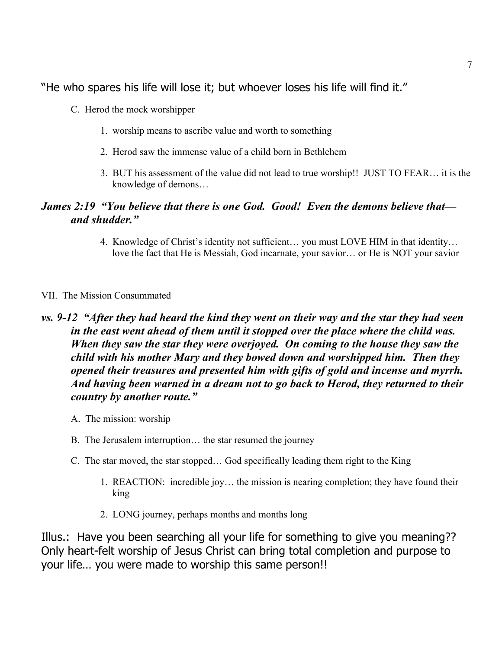"He who spares his life will lose it; but whoever loses his life will find it."

- C. Herod the mock worshipper
	- 1. worship means to ascribe value and worth to something
	- 2. Herod saw the immense value of a child born in Bethlehem
	- 3. BUT his assessment of the value did not lead to true worship!! JUST TO FEAR… it is the knowledge of demons…

# *James 2:19 "You believe that there is one God. Good! Even the demons believe that and shudder."*

4. Knowledge of Christ's identity not sufficient… you must LOVE HIM in that identity… love the fact that He is Messiah, God incarnate, your savior… or He is NOT your savior

#### VII. The Mission Consummated

# *vs. 9-12 "After they had heard the kind they went on their way and the star they had seen in the east went ahead of them until it stopped over the place where the child was. When they saw the star they were overjoyed. On coming to the house they saw the child with his mother Mary and they bowed down and worshipped him. Then they opened their treasures and presented him with gifts of gold and incense and myrrh. And having been warned in a dream not to go back to Herod, they returned to their country by another route."*

- A. The mission: worship
- B. The Jerusalem interruption… the star resumed the journey
- C. The star moved, the star stopped… God specifically leading them right to the King
	- 1. REACTION: incredible joy… the mission is nearing completion; they have found their king
	- 2. LONG journey, perhaps months and months long

Illus.: Have you been searching all your life for something to give you meaning?? Only heart-felt worship of Jesus Christ can bring total completion and purpose to your life… you were made to worship this same person!!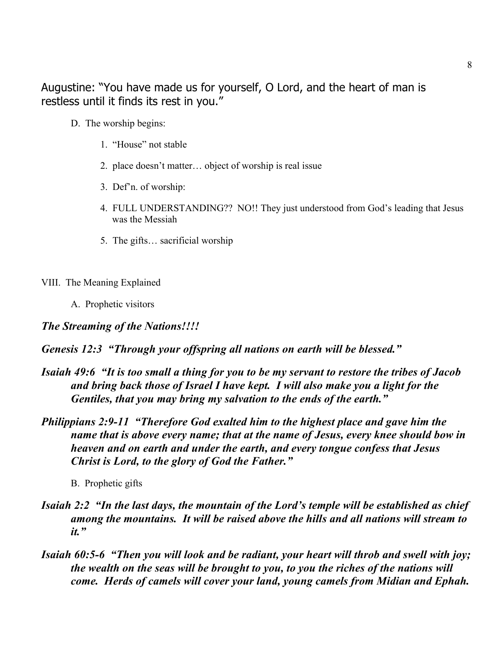Augustine: "You have made us for yourself, O Lord, and the heart of man is restless until it finds its rest in you."

- D. The worship begins:
	- 1. "House" not stable
	- 2. place doesn't matter… object of worship is real issue
	- 3. Def'n. of worship:
	- 4. FULL UNDERSTANDING?? NO!! They just understood from God's leading that Jesus was the Messiah
	- 5. The gifts… sacrificial worship
- VIII. The Meaning Explained
	- A. Prophetic visitors

*The Streaming of the Nations!!!!*

*Genesis 12:3 "Through your offspring all nations on earth will be blessed."*

- *Isaiah 49:6 "It is too small a thing for you to be my servant to restore the tribes of Jacob and bring back those of Israel I have kept. I will also make you a light for the Gentiles, that you may bring my salvation to the ends of the earth."*
- *Philippians 2:9-11 "Therefore God exalted him to the highest place and gave him the name that is above every name; that at the name of Jesus, every knee should bow in heaven and on earth and under the earth, and every tongue confess that Jesus Christ is Lord, to the glory of God the Father."*

B. Prophetic gifts

- *Isaiah 2:2 "In the last days, the mountain of the Lord's temple will be established as chief among the mountains. It will be raised above the hills and all nations will stream to it."*
- *Isaiah 60:5-6 "Then you will look and be radiant, your heart will throb and swell with joy; the wealth on the seas will be brought to you, to you the riches of the nations will come. Herds of camels will cover your land, young camels from Midian and Ephah.*